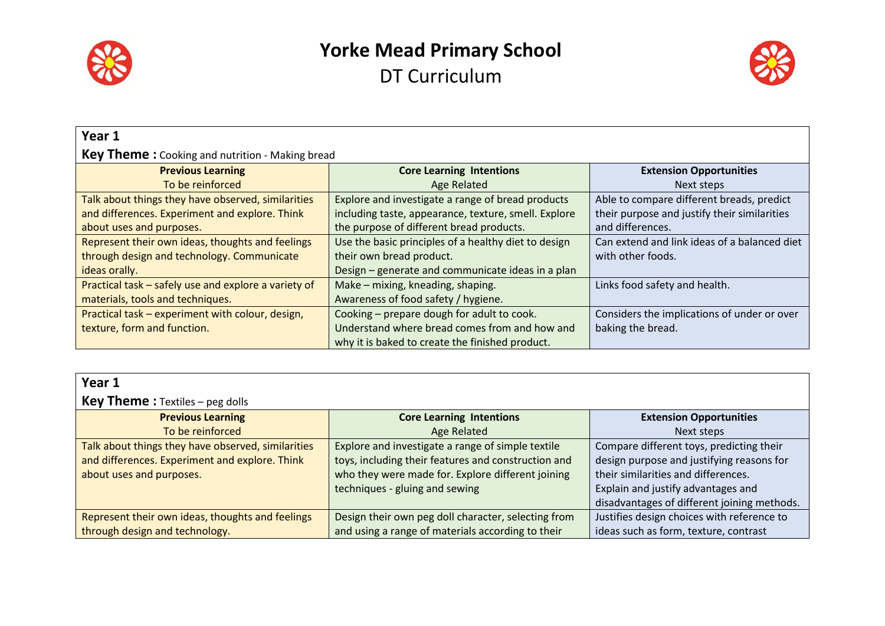



| Year 1                                                 |                                                      |                                              |
|--------------------------------------------------------|------------------------------------------------------|----------------------------------------------|
| <b>Key Theme:</b> Cooking and nutrition - Making bread |                                                      |                                              |
| <b>Previous Learning</b>                               | <b>Core Learning Intentions</b>                      | <b>Extension Opportunities</b>               |
| To be reinforced                                       | <b>Age Related</b>                                   | Next steps                                   |
| Talk about things they have observed, similarities     | Explore and investigate a range of bread products    | Able to compare different breads, predict    |
| and differences. Experiment and explore. Think         | including taste, appearance, texture, smell. Explore | their purpose and justify their similarities |
| about uses and purposes.                               | the purpose of different bread products.             | and differences.                             |
| Represent their own ideas, thoughts and feelings       | Use the basic principles of a healthy diet to design | Can extend and link ideas of a balanced diet |
| through design and technology. Communicate             | their own bread product.                             | with other foods.                            |
| ideas orally.                                          | Design – generate and communicate ideas in a plan    |                                              |
| Practical task - safely use and explore a variety of   | Make - mixing, kneading, shaping.                    | Links food safety and health.                |
| materials, tools and techniques.                       | Awareness of food safety / hygiene.                  |                                              |
| Practical task - experiment with colour, design,       | Cooking - prepare dough for adult to cook.           | Considers the implications of under or over  |
| texture, form and function.                            | Understand where bread comes from and how and        | baking the bread.                            |
|                                                        | why it is baked to create the finished product.      |                                              |

| Year 1                                             |                                                     |                                             |
|----------------------------------------------------|-----------------------------------------------------|---------------------------------------------|
| <b>Key Theme:</b> Textiles – peg dolls             |                                                     |                                             |
| <b>Previous Learning</b>                           | <b>Core Learning Intentions</b>                     | <b>Extension Opportunities</b>              |
| To be reinforced                                   | <b>Age Related</b>                                  | Next steps                                  |
| Talk about things they have observed, similarities | Explore and investigate a range of simple textile   | Compare different toys, predicting their    |
| and differences. Experiment and explore. Think     | toys, including their features and construction and | design purpose and justifying reasons for   |
| about uses and purposes.                           | who they were made for. Explore different joining   | their similarities and differences.         |
|                                                    | techniques - gluing and sewing                      | Explain and justify advantages and          |
|                                                    |                                                     | disadvantages of different joining methods. |
| Represent their own ideas, thoughts and feelings   | Design their own peg doll character, selecting from | Justifies design choices with reference to  |
| through design and technology.                     | and using a range of materials according to their   | ideas such as form, texture, contrast       |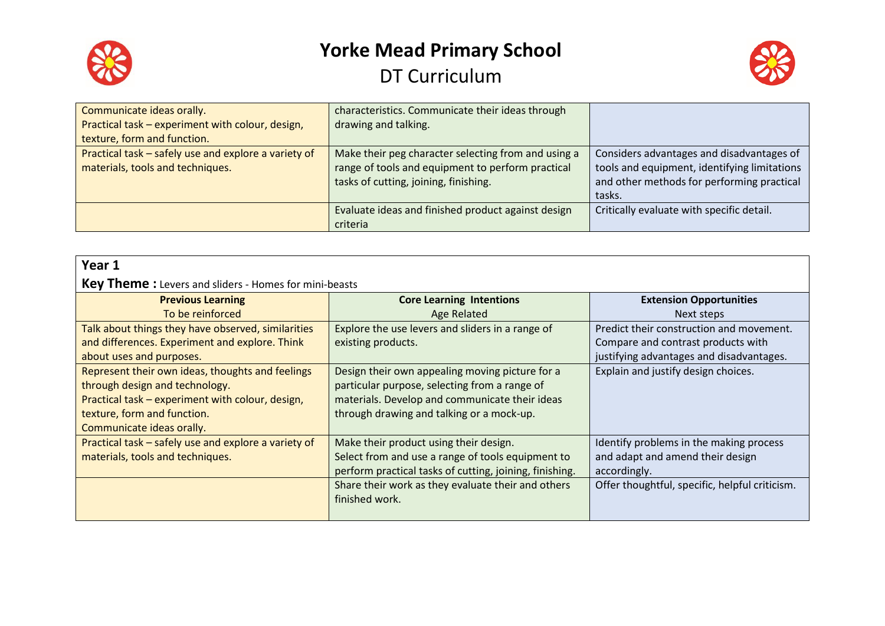



| Communicate ideas orally.                                                                | characteristics. Communicate their ideas through                                                                                                  |                                                                                                                                                   |
|------------------------------------------------------------------------------------------|---------------------------------------------------------------------------------------------------------------------------------------------------|---------------------------------------------------------------------------------------------------------------------------------------------------|
| Practical task - experiment with colour, design,                                         | drawing and talking.                                                                                                                              |                                                                                                                                                   |
| texture, form and function.                                                              |                                                                                                                                                   |                                                                                                                                                   |
| Practical task - safely use and explore a variety of<br>materials, tools and techniques. | Make their peg character selecting from and using a<br>range of tools and equipment to perform practical<br>tasks of cutting, joining, finishing. | Considers advantages and disadvantages of<br>tools and equipment, identifying limitations<br>and other methods for performing practical<br>tasks. |
|                                                                                          | Evaluate ideas and finished product against design                                                                                                | Critically evaluate with specific detail.                                                                                                         |
|                                                                                          | criteria                                                                                                                                          |                                                                                                                                                   |

| Year 1                                                                                                                                                                                             |                                                                                                                                                                                                 |                                                                                                                                          |
|----------------------------------------------------------------------------------------------------------------------------------------------------------------------------------------------------|-------------------------------------------------------------------------------------------------------------------------------------------------------------------------------------------------|------------------------------------------------------------------------------------------------------------------------------------------|
| <b>Key Theme:</b> Levers and sliders - Homes for mini-beasts                                                                                                                                       |                                                                                                                                                                                                 |                                                                                                                                          |
| <b>Previous Learning</b>                                                                                                                                                                           | <b>Core Learning Intentions</b>                                                                                                                                                                 | <b>Extension Opportunities</b>                                                                                                           |
| To be reinforced<br>Talk about things they have observed, similarities<br>and differences. Experiment and explore. Think<br>about uses and purposes.                                               | <b>Age Related</b><br>Explore the use levers and sliders in a range of<br>existing products.                                                                                                    | Next steps<br>Predict their construction and movement.<br>Compare and contrast products with<br>justifying advantages and disadvantages. |
| Represent their own ideas, thoughts and feelings<br>through design and technology.<br>Practical task - experiment with colour, design,<br>texture, form and function.<br>Communicate ideas orally. | Design their own appealing moving picture for a<br>particular purpose, selecting from a range of<br>materials. Develop and communicate their ideas<br>through drawing and talking or a mock-up. | Explain and justify design choices.                                                                                                      |
| Practical task - safely use and explore a variety of<br>materials, tools and techniques.                                                                                                           | Make their product using their design.<br>Select from and use a range of tools equipment to<br>perform practical tasks of cutting, joining, finishing.                                          | Identify problems in the making process<br>and adapt and amend their design<br>accordingly.                                              |
|                                                                                                                                                                                                    | Share their work as they evaluate their and others<br>finished work.                                                                                                                            | Offer thoughtful, specific, helpful criticism.                                                                                           |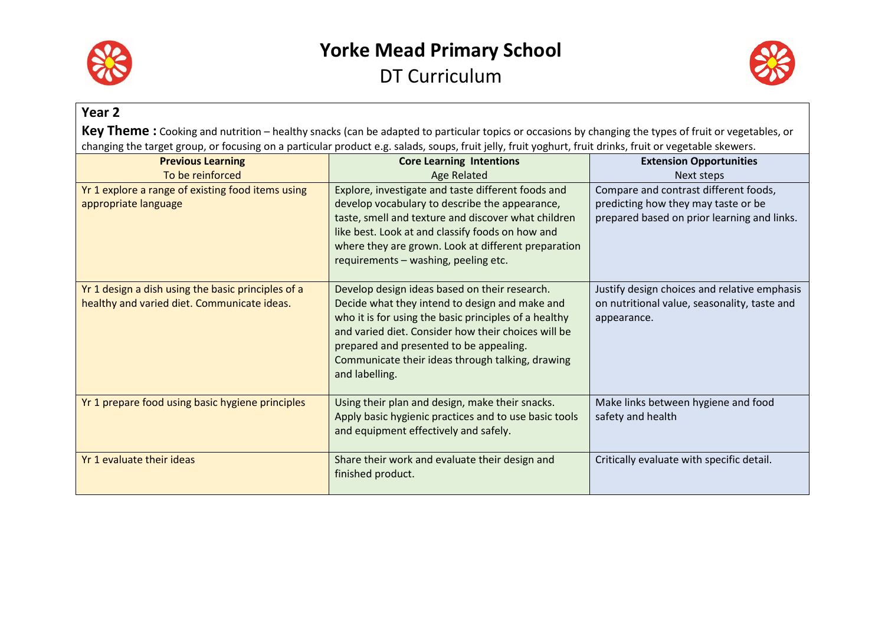



#### **Year 2** Key Theme: Cooking and nutrition – healthy snacks (can be adapted to particular topics or occasions by changing the types of fruit or vegetables, or changing the target group, or focusing on a particular product e.g. salads, soups, fruit jelly, fruit yoghurt, fruit drinks, fruit or vegetable skewers. **Previous Learning** To be reinforced **Core Learning Intentions** Age Related **Extension Opportunities**  Next steps Yr 1 explore a range of existing food items using appropriate language Explore, investigate and taste different foods and develop vocabulary to describe the appearance, taste, smell and texture and discover what children like best. Look at and classify foods on how and where they are grown. Look at different preparation requirements – washing, peeling etc. Compare and contrast different foods, predicting how they may taste or be prepared based on prior learning and links. Yr 1 design a dish using the basic principles of a healthy and varied diet. Communicate ideas. Develop design ideas based on their research. Decide what they intend to design and make and who it is for using the basic principles of a healthy and varied diet. Consider how their choices will be prepared and presented to be appealing. Communicate their ideas through talking, drawing and labelling. Justify design choices and relative emphasis on nutritional value, seasonality, taste and appearance.  $Yr$  1 prepare food using basic hygiene principles  $\blacksquare$  Using their plan and design, make their snacks. Apply basic hygienic practices and to use basic tools and equipment effectively and safely. Make links between hygiene and food safety and health Yr 1 evaluate their ideas Share their work and evaluate their design and finished product. Critically evaluate with specific detail.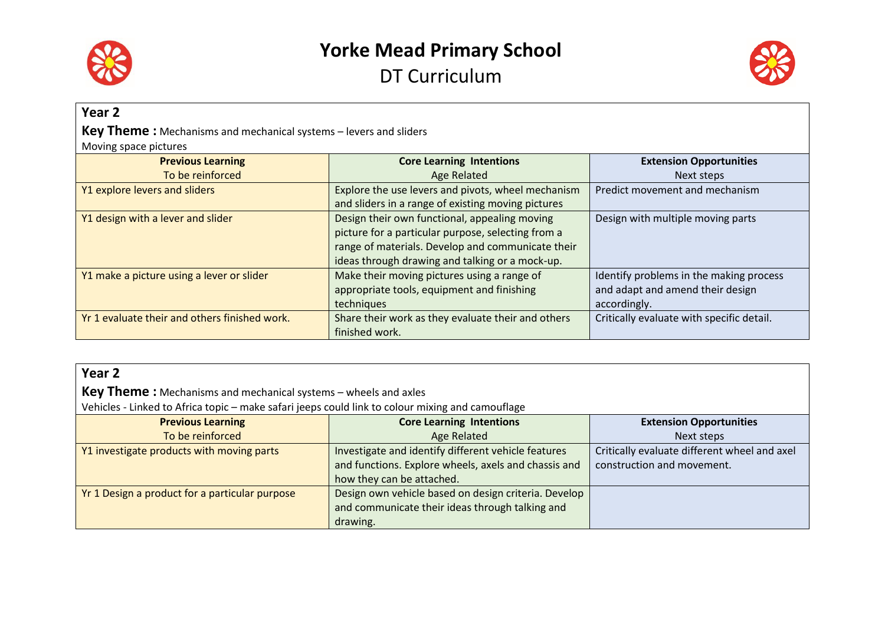



#### **Year 2**

**Key Theme :** Mechanisms and mechanical systems – levers and sliders

Moving space pictures

| <b>Previous Learning</b>                      | <b>Core Learning Intentions</b>                    | <b>Extension Opportunities</b>            |
|-----------------------------------------------|----------------------------------------------------|-------------------------------------------|
| To be reinforced                              | Age Related                                        | Next steps                                |
| Y1 explore levers and sliders                 | Explore the use levers and pivots, wheel mechanism | Predict movement and mechanism            |
|                                               | and sliders in a range of existing moving pictures |                                           |
| Y1 design with a lever and slider             | Design their own functional, appealing moving      | Design with multiple moving parts         |
|                                               | picture for a particular purpose, selecting from a |                                           |
|                                               | range of materials. Develop and communicate their  |                                           |
|                                               | ideas through drawing and talking or a mock-up.    |                                           |
| Y1 make a picture using a lever or slider     | Make their moving pictures using a range of        | Identify problems in the making process   |
|                                               | appropriate tools, equipment and finishing         | and adapt and amend their design          |
|                                               | techniques                                         | accordingly.                              |
| Yr 1 evaluate their and others finished work. | Share their work as they evaluate their and others | Critically evaluate with specific detail. |
|                                               | finished work.                                     |                                           |

| Year <sub>2</sub>                                                                                |                                                      |                                              |
|--------------------------------------------------------------------------------------------------|------------------------------------------------------|----------------------------------------------|
| <b>Key Theme:</b> Mechanisms and mechanical systems – wheels and axles                           |                                                      |                                              |
| Vehicles - Linked to Africa topic - make safari jeeps could link to colour mixing and camouflage |                                                      |                                              |
| <b>Previous Learning</b>                                                                         | <b>Core Learning Intentions</b>                      | <b>Extension Opportunities</b>               |
| To be reinforced                                                                                 | Age Related                                          | Next steps                                   |
| Y1 investigate products with moving parts                                                        | Investigate and identify different vehicle features  | Critically evaluate different wheel and axel |
|                                                                                                  | and functions. Explore wheels, axels and chassis and | construction and movement.                   |
|                                                                                                  | how they can be attached.                            |                                              |
| Yr 1 Design a product for a particular purpose                                                   | Design own vehicle based on design criteria. Develop |                                              |
|                                                                                                  | and communicate their ideas through talking and      |                                              |
|                                                                                                  | drawing.                                             |                                              |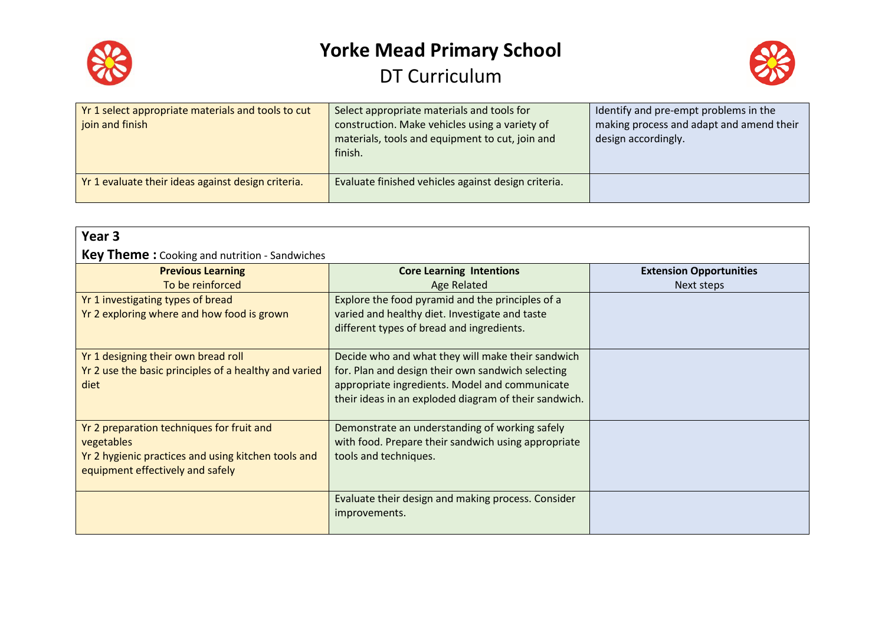



| Yr 1 select appropriate materials and tools to cut<br>join and finish | Select appropriate materials and tools for<br>construction. Make vehicles using a variety of<br>materials, tools and equipment to cut, join and<br>finish. | Identify and pre-empt problems in the<br>making process and adapt and amend their<br>design accordingly. |
|-----------------------------------------------------------------------|------------------------------------------------------------------------------------------------------------------------------------------------------------|----------------------------------------------------------------------------------------------------------|
| Yr 1 evaluate their ideas against design criteria.                    | Evaluate finished vehicles against design criteria.                                                                                                        |                                                                                                          |

| Year <sub>3</sub>                                     |                                                       |                                |
|-------------------------------------------------------|-------------------------------------------------------|--------------------------------|
| <b>Key Theme:</b> Cooking and nutrition - Sandwiches  |                                                       |                                |
| <b>Previous Learning</b>                              | <b>Core Learning Intentions</b>                       | <b>Extension Opportunities</b> |
| To be reinforced                                      | <b>Age Related</b>                                    | Next steps                     |
| Yr 1 investigating types of bread                     | Explore the food pyramid and the principles of a      |                                |
| Yr 2 exploring where and how food is grown            | varied and healthy diet. Investigate and taste        |                                |
|                                                       | different types of bread and ingredients.             |                                |
|                                                       |                                                       |                                |
| Yr 1 designing their own bread roll                   | Decide who and what they will make their sandwich     |                                |
| Yr 2 use the basic principles of a healthy and varied | for. Plan and design their own sandwich selecting     |                                |
| diet                                                  | appropriate ingredients. Model and communicate        |                                |
|                                                       | their ideas in an exploded diagram of their sandwich. |                                |
| Yr 2 preparation techniques for fruit and             | Demonstrate an understanding of working safely        |                                |
| vegetables                                            | with food. Prepare their sandwich using appropriate   |                                |
| Yr 2 hygienic practices and using kitchen tools and   | tools and techniques.                                 |                                |
| equipment effectively and safely                      |                                                       |                                |
|                                                       |                                                       |                                |
|                                                       | Evaluate their design and making process. Consider    |                                |
|                                                       | improvements.                                         |                                |
|                                                       |                                                       |                                |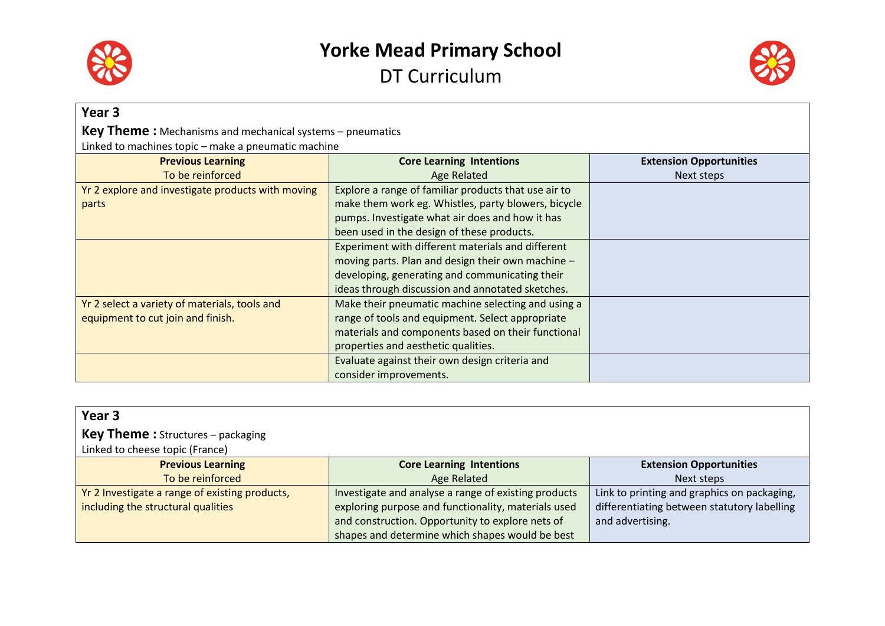



| Year <sub>3</sub>                                                |                                                      |                                |
|------------------------------------------------------------------|------------------------------------------------------|--------------------------------|
| <b>Key Theme:</b> Mechanisms and mechanical systems – pneumatics |                                                      |                                |
| Linked to machines topic - make a pneumatic machine              |                                                      |                                |
| <b>Previous Learning</b>                                         | <b>Core Learning Intentions</b>                      | <b>Extension Opportunities</b> |
| To be reinforced                                                 | <b>Age Related</b>                                   | Next steps                     |
| Yr 2 explore and investigate products with moving                | Explore a range of familiar products that use air to |                                |
| parts                                                            | make them work eg. Whistles, party blowers, bicycle  |                                |
|                                                                  | pumps. Investigate what air does and how it has      |                                |
|                                                                  | been used in the design of these products.           |                                |
|                                                                  | Experiment with different materials and different    |                                |
|                                                                  | moving parts. Plan and design their own machine -    |                                |
|                                                                  | developing, generating and communicating their       |                                |
|                                                                  | ideas through discussion and annotated sketches.     |                                |
| Yr 2 select a variety of materials, tools and                    | Make their pneumatic machine selecting and using a   |                                |
| equipment to cut join and finish.                                | range of tools and equipment. Select appropriate     |                                |
|                                                                  | materials and components based on their functional   |                                |
|                                                                  | properties and aesthetic qualities.                  |                                |
|                                                                  | Evaluate against their own design criteria and       |                                |
|                                                                  | consider improvements.                               |                                |

| Year <sub>3</sub>                              |                                                      |                                             |
|------------------------------------------------|------------------------------------------------------|---------------------------------------------|
| <b>Key Theme:</b> Structures - packaging       |                                                      |                                             |
| Linked to cheese topic (France)                |                                                      |                                             |
| <b>Previous Learning</b>                       | <b>Core Learning Intentions</b>                      | <b>Extension Opportunities</b>              |
| To be reinforced                               | Age Related                                          | Next steps                                  |
| Yr 2 Investigate a range of existing products, | Investigate and analyse a range of existing products | Link to printing and graphics on packaging, |
| including the structural qualities             | exploring purpose and functionality, materials used  | differentiating between statutory labelling |
|                                                | and construction. Opportunity to explore nets of     | and advertising.                            |
|                                                | shapes and determine which shapes would be best      |                                             |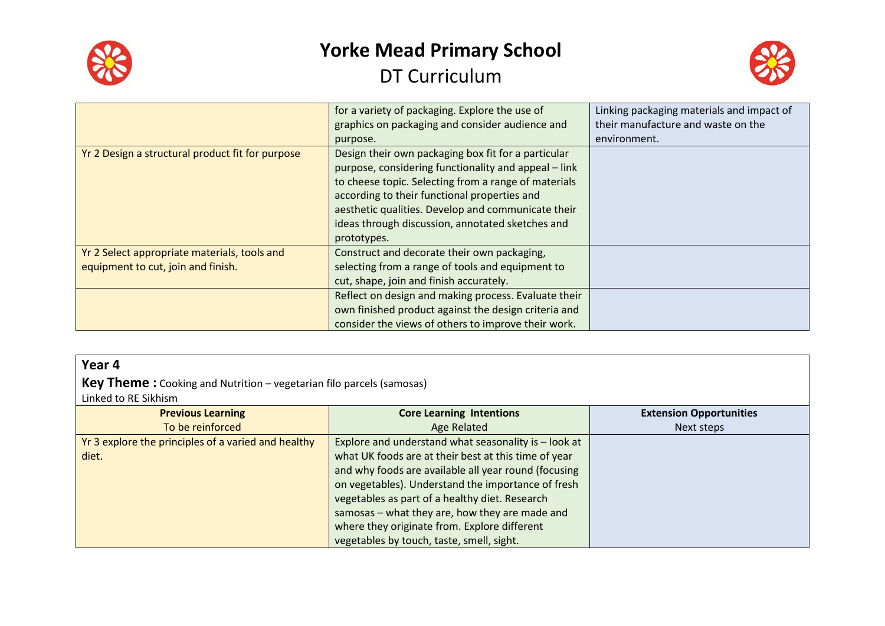



|                                                  | for a variety of packaging. Explore the use of       | Linking packaging materials and impact of |
|--------------------------------------------------|------------------------------------------------------|-------------------------------------------|
|                                                  | graphics on packaging and consider audience and      | their manufacture and waste on the        |
|                                                  | purpose.                                             | environment.                              |
| Yr 2 Design a structural product fit for purpose | Design their own packaging box fit for a particular  |                                           |
|                                                  | purpose, considering functionality and appeal – link |                                           |
|                                                  | to cheese topic. Selecting from a range of materials |                                           |
|                                                  | according to their functional properties and         |                                           |
|                                                  | aesthetic qualities. Develop and communicate their   |                                           |
|                                                  | ideas through discussion, annotated sketches and     |                                           |
|                                                  | prototypes.                                          |                                           |
| Yr 2 Select appropriate materials, tools and     | Construct and decorate their own packaging,          |                                           |
| equipment to cut, join and finish.               | selecting from a range of tools and equipment to     |                                           |
|                                                  | cut, shape, join and finish accurately.              |                                           |
|                                                  | Reflect on design and making process. Evaluate their |                                           |
|                                                  | own finished product against the design criteria and |                                           |
|                                                  | consider the views of others to improve their work.  |                                           |

### **Year 4**

**Key Theme :** Cooking and Nutrition – vegetarian filo parcels (samosas)

Linked to RE Sikhism

| <b>Previous Learning</b>                            | <b>Core Learning Intentions</b>                      | <b>Extension Opportunities</b> |
|-----------------------------------------------------|------------------------------------------------------|--------------------------------|
| To be reinforced                                    | Age Related                                          | Next steps                     |
| Yr 3 explore the principles of a varied and healthy | Explore and understand what seasonality is - look at |                                |
| diet.                                               | what UK foods are at their best at this time of year |                                |
|                                                     | and why foods are available all year round (focusing |                                |
|                                                     | on vegetables). Understand the importance of fresh   |                                |
|                                                     | vegetables as part of a healthy diet. Research       |                                |
|                                                     | samosas - what they are, how they are made and       |                                |
|                                                     | where they originate from. Explore different         |                                |
|                                                     | vegetables by touch, taste, smell, sight.            |                                |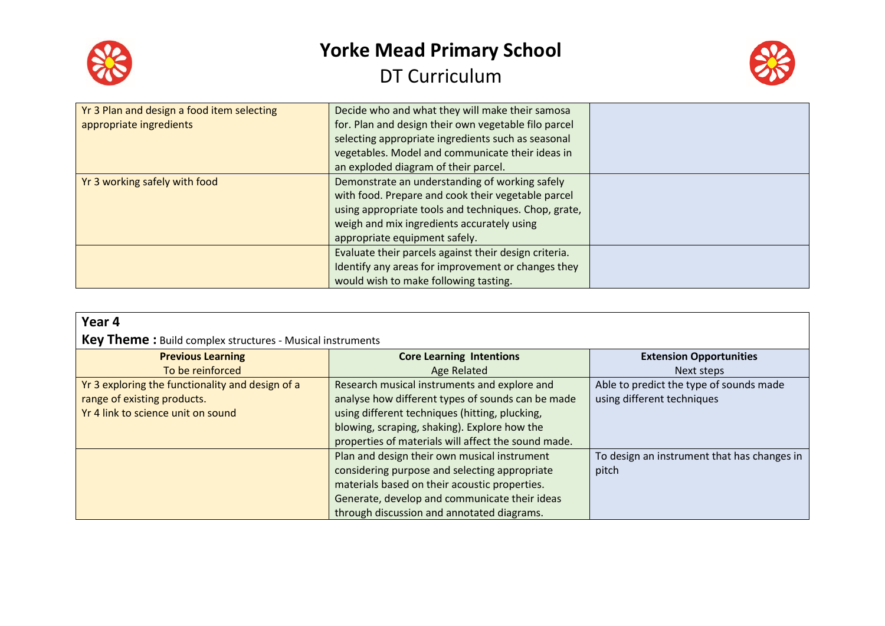



| Yr 3 Plan and design a food item selecting | Decide who and what they will make their samosa       |  |
|--------------------------------------------|-------------------------------------------------------|--|
| appropriate ingredients                    | for. Plan and design their own vegetable filo parcel  |  |
|                                            | selecting appropriate ingredients such as seasonal    |  |
|                                            | vegetables. Model and communicate their ideas in      |  |
|                                            | an exploded diagram of their parcel.                  |  |
| Yr 3 working safely with food              | Demonstrate an understanding of working safely        |  |
|                                            | with food. Prepare and cook their vegetable parcel    |  |
|                                            | using appropriate tools and techniques. Chop, grate,  |  |
|                                            | weigh and mix ingredients accurately using            |  |
|                                            | appropriate equipment safely.                         |  |
|                                            | Evaluate their parcels against their design criteria. |  |
|                                            | Identify any areas for improvement or changes they    |  |
|                                            | would wish to make following tasting.                 |  |

#### **Year 4**

### **Key Theme :** Build complex structures - Musical instruments

| <b>Previous Learning</b>                         | <b>Core Learning Intentions</b>                     | <b>Extension Opportunities</b>              |
|--------------------------------------------------|-----------------------------------------------------|---------------------------------------------|
| To be reinforced                                 | Age Related                                         | Next steps                                  |
| Yr 3 exploring the functionality and design of a | Research musical instruments and explore and        | Able to predict the type of sounds made     |
| range of existing products.                      | analyse how different types of sounds can be made   | using different techniques                  |
| Yr 4 link to science unit on sound               | using different techniques (hitting, plucking,      |                                             |
|                                                  | blowing, scraping, shaking). Explore how the        |                                             |
|                                                  | properties of materials will affect the sound made. |                                             |
|                                                  | Plan and design their own musical instrument        | To design an instrument that has changes in |
|                                                  | considering purpose and selecting appropriate       | pitch                                       |
|                                                  | materials based on their acoustic properties.       |                                             |
|                                                  | Generate, develop and communicate their ideas       |                                             |
|                                                  | through discussion and annotated diagrams.          |                                             |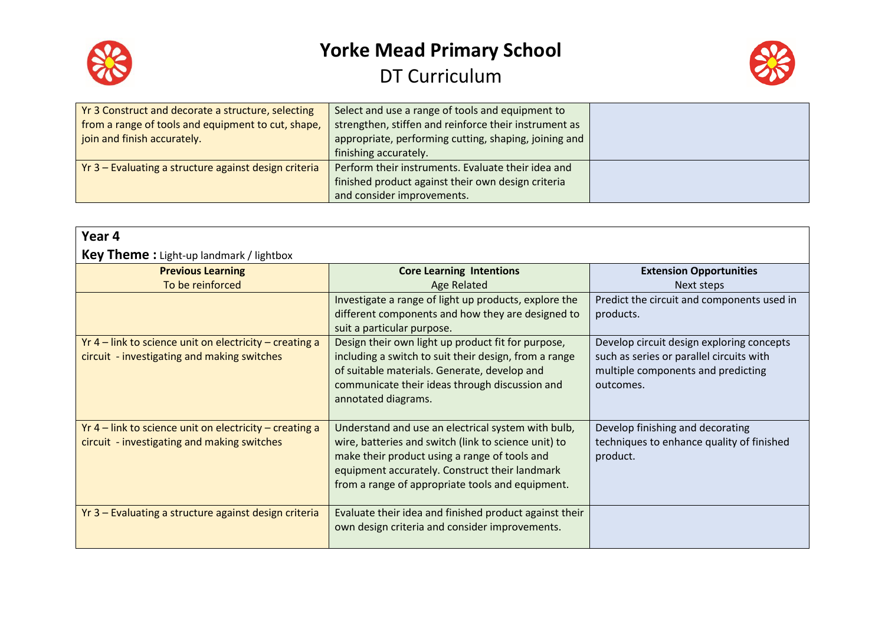



| Yr 3 Construct and decorate a structure, selecting    | Select and use a range of tools and equipment to      |  |
|-------------------------------------------------------|-------------------------------------------------------|--|
| from a range of tools and equipment to cut, shape,    | strengthen, stiffen and reinforce their instrument as |  |
| join and finish accurately.                           | appropriate, performing cutting, shaping, joining and |  |
|                                                       | finishing accurately.                                 |  |
| Yr 3 - Evaluating a structure against design criteria | Perform their instruments. Evaluate their idea and    |  |
|                                                       | finished product against their own design criteria    |  |
|                                                       | and consider improvements.                            |  |

| Year 4                                                    |                                                        |                                            |
|-----------------------------------------------------------|--------------------------------------------------------|--------------------------------------------|
| <b>Key Theme:</b> Light-up landmark / lightbox            |                                                        |                                            |
| <b>Previous Learning</b>                                  | <b>Core Learning Intentions</b>                        | <b>Extension Opportunities</b>             |
| To be reinforced                                          | <b>Age Related</b>                                     | Next steps                                 |
|                                                           | Investigate a range of light up products, explore the  | Predict the circuit and components used in |
|                                                           | different components and how they are designed to      | products.                                  |
|                                                           | suit a particular purpose.                             |                                            |
| $Yr$ 4 – link to science unit on electricity – creating a | Design their own light up product fit for purpose,     | Develop circuit design exploring concepts  |
| circuit - investigating and making switches               | including a switch to suit their design, from a range  | such as series or parallel circuits with   |
|                                                           | of suitable materials. Generate, develop and           | multiple components and predicting         |
|                                                           | communicate their ideas through discussion and         | outcomes.                                  |
|                                                           | annotated diagrams.                                    |                                            |
|                                                           |                                                        |                                            |
| $Yr$ 4 – link to science unit on electricity – creating a | Understand and use an electrical system with bulb,     | Develop finishing and decorating           |
| circuit - investigating and making switches               | wire, batteries and switch (link to science unit) to   | techniques to enhance quality of finished  |
|                                                           | make their product using a range of tools and          | product.                                   |
|                                                           | equipment accurately. Construct their landmark         |                                            |
|                                                           | from a range of appropriate tools and equipment.       |                                            |
| Yr 3 - Evaluating a structure against design criteria     | Evaluate their idea and finished product against their |                                            |
|                                                           | own design criteria and consider improvements.         |                                            |
|                                                           |                                                        |                                            |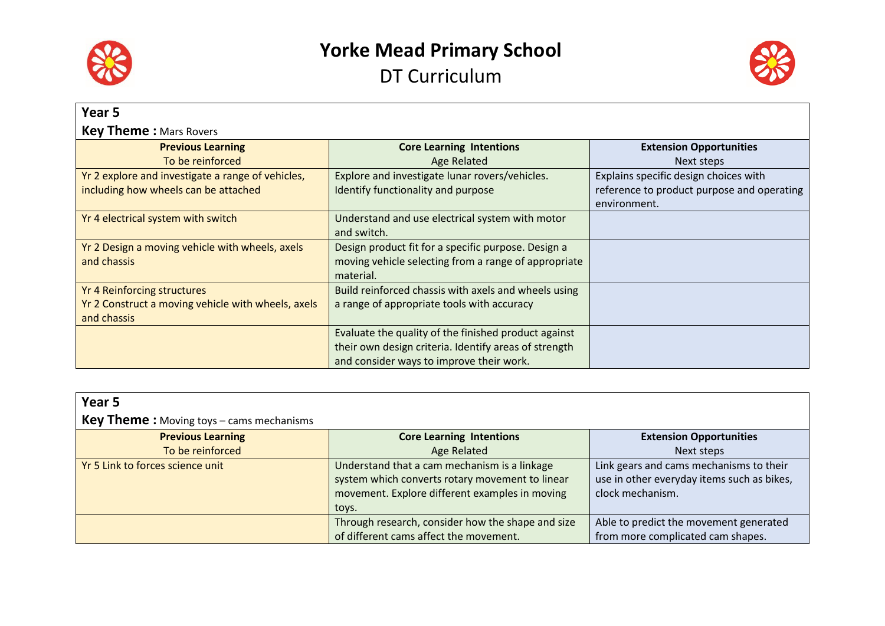



| Year 5                                             |                                                       |                                            |
|----------------------------------------------------|-------------------------------------------------------|--------------------------------------------|
| <b>Key Theme:</b> Mars Rovers                      |                                                       |                                            |
| <b>Previous Learning</b>                           | <b>Core Learning Intentions</b>                       | <b>Extension Opportunities</b>             |
| To be reinforced                                   | Age Related                                           | Next steps                                 |
| Yr 2 explore and investigate a range of vehicles,  | Explore and investigate lunar rovers/vehicles.        | Explains specific design choices with      |
| including how wheels can be attached               | Identify functionality and purpose                    | reference to product purpose and operating |
|                                                    |                                                       | environment.                               |
| Yr 4 electrical system with switch                 | Understand and use electrical system with motor       |                                            |
|                                                    | and switch.                                           |                                            |
| Yr 2 Design a moving vehicle with wheels, axels    | Design product fit for a specific purpose. Design a   |                                            |
| and chassis                                        | moving vehicle selecting from a range of appropriate  |                                            |
|                                                    | material.                                             |                                            |
| <b>Yr 4 Reinforcing structures</b>                 | Build reinforced chassis with axels and wheels using  |                                            |
| Yr 2 Construct a moving vehicle with wheels, axels | a range of appropriate tools with accuracy            |                                            |
| and chassis                                        |                                                       |                                            |
|                                                    | Evaluate the quality of the finished product against  |                                            |
|                                                    | their own design criteria. Identify areas of strength |                                            |
|                                                    | and consider ways to improve their work.              |                                            |

| Year <sub>5</sub>                               |                                                   |                                            |
|-------------------------------------------------|---------------------------------------------------|--------------------------------------------|
| <b>Key Theme:</b> Moving toys - cams mechanisms |                                                   |                                            |
| <b>Previous Learning</b>                        | <b>Core Learning Intentions</b>                   | <b>Extension Opportunities</b>             |
| To be reinforced                                | <b>Age Related</b>                                | Next steps                                 |
| Yr 5 Link to forces science unit                | Understand that a cam mechanism is a linkage      | Link gears and cams mechanisms to their    |
|                                                 | system which converts rotary movement to linear   | use in other everyday items such as bikes, |
|                                                 | movement. Explore different examples in moving    | clock mechanism.                           |
|                                                 | toys.                                             |                                            |
|                                                 | Through research, consider how the shape and size | Able to predict the movement generated     |
|                                                 | of different cams affect the movement.            | from more complicated cam shapes.          |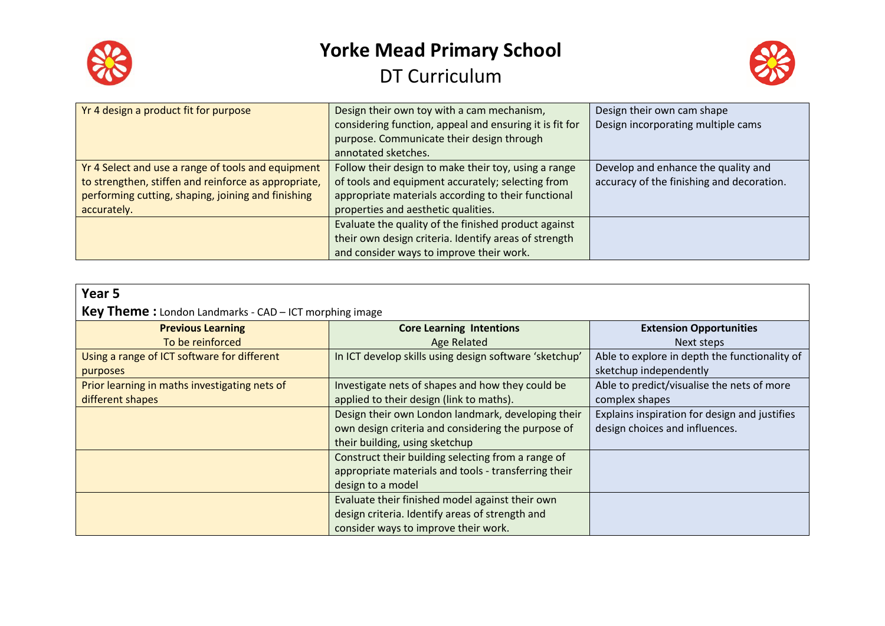



| Yr 4 design a product fit for purpose                | Design their own toy with a cam mechanism,              | Design their own cam shape                |
|------------------------------------------------------|---------------------------------------------------------|-------------------------------------------|
|                                                      | considering function, appeal and ensuring it is fit for | Design incorporating multiple cams        |
|                                                      | purpose. Communicate their design through               |                                           |
|                                                      | annotated sketches.                                     |                                           |
| Yr 4 Select and use a range of tools and equipment   | Follow their design to make their toy, using a range    | Develop and enhance the quality and       |
| to strengthen, stiffen and reinforce as appropriate, | of tools and equipment accurately; selecting from       | accuracy of the finishing and decoration. |
| performing cutting, shaping, joining and finishing   | appropriate materials according to their functional     |                                           |
| accurately.                                          | properties and aesthetic qualities.                     |                                           |
|                                                      | Evaluate the quality of the finished product against    |                                           |
|                                                      | their own design criteria. Identify areas of strength   |                                           |
|                                                      | and consider ways to improve their work.                |                                           |

| Year 5                                                        |                                                        |                                               |
|---------------------------------------------------------------|--------------------------------------------------------|-----------------------------------------------|
| <b>Key Theme:</b> London Landmarks - CAD – ICT morphing image |                                                        |                                               |
| <b>Previous Learning</b>                                      | <b>Core Learning Intentions</b>                        | <b>Extension Opportunities</b>                |
| To be reinforced                                              | Age Related                                            | Next steps                                    |
| Using a range of ICT software for different                   | In ICT develop skills using design software 'sketchup' | Able to explore in depth the functionality of |
| purposes                                                      |                                                        | sketchup independently                        |
| Prior learning in maths investigating nets of                 | Investigate nets of shapes and how they could be       | Able to predict/visualise the nets of more    |
| different shapes                                              | applied to their design (link to maths).               | complex shapes                                |
|                                                               | Design their own London landmark, developing their     | Explains inspiration for design and justifies |
|                                                               | own design criteria and considering the purpose of     | design choices and influences.                |
|                                                               | their building, using sketchup                         |                                               |
|                                                               | Construct their building selecting from a range of     |                                               |
|                                                               | appropriate materials and tools - transferring their   |                                               |
|                                                               | design to a model                                      |                                               |
|                                                               | Evaluate their finished model against their own        |                                               |
|                                                               | design criteria. Identify areas of strength and        |                                               |
|                                                               | consider ways to improve their work.                   |                                               |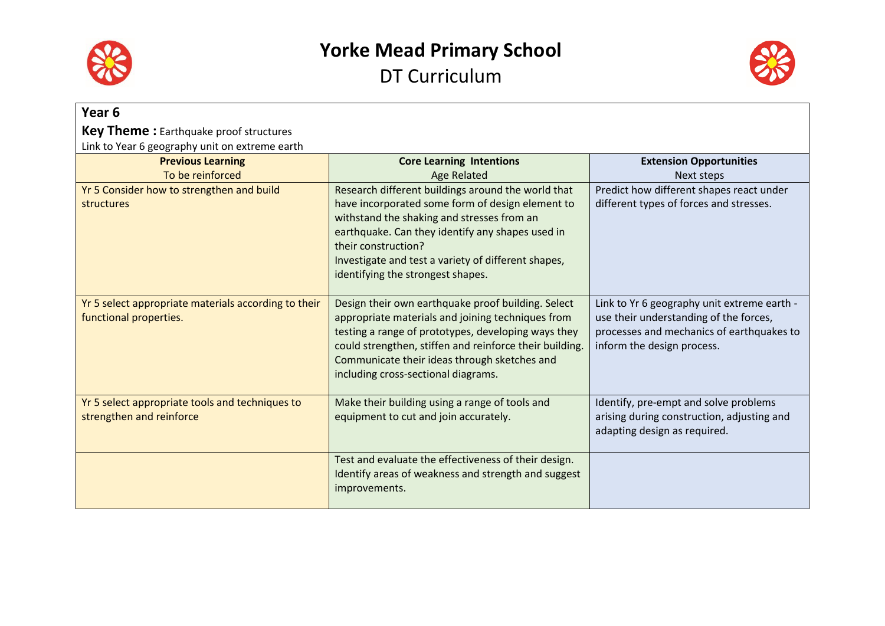



| Year 6                                                                         |                                                                                                                                                                                                                                                                                                                             |                                                                                                                                                                  |
|--------------------------------------------------------------------------------|-----------------------------------------------------------------------------------------------------------------------------------------------------------------------------------------------------------------------------------------------------------------------------------------------------------------------------|------------------------------------------------------------------------------------------------------------------------------------------------------------------|
| <b>Key Theme:</b> Earthquake proof structures                                  |                                                                                                                                                                                                                                                                                                                             |                                                                                                                                                                  |
| Link to Year 6 geography unit on extreme earth                                 |                                                                                                                                                                                                                                                                                                                             |                                                                                                                                                                  |
| <b>Previous Learning</b>                                                       | <b>Core Learning Intentions</b>                                                                                                                                                                                                                                                                                             | <b>Extension Opportunities</b>                                                                                                                                   |
| To be reinforced                                                               | <b>Age Related</b>                                                                                                                                                                                                                                                                                                          | Next steps                                                                                                                                                       |
| Yr 5 Consider how to strengthen and build<br>structures                        | Research different buildings around the world that<br>have incorporated some form of design element to<br>withstand the shaking and stresses from an<br>earthquake. Can they identify any shapes used in<br>their construction?<br>Investigate and test a variety of different shapes,<br>identifying the strongest shapes. | Predict how different shapes react under<br>different types of forces and stresses.                                                                              |
| Yr 5 select appropriate materials according to their<br>functional properties. | Design their own earthquake proof building. Select<br>appropriate materials and joining techniques from<br>testing a range of prototypes, developing ways they<br>could strengthen, stiffen and reinforce their building.<br>Communicate their ideas through sketches and<br>including cross-sectional diagrams.            | Link to Yr 6 geography unit extreme earth -<br>use their understanding of the forces,<br>processes and mechanics of earthquakes to<br>inform the design process. |
| Yr 5 select appropriate tools and techniques to<br>strengthen and reinforce    | Make their building using a range of tools and<br>equipment to cut and join accurately.                                                                                                                                                                                                                                     | Identify, pre-empt and solve problems<br>arising during construction, adjusting and<br>adapting design as required.                                              |
|                                                                                | Test and evaluate the effectiveness of their design.<br>Identify areas of weakness and strength and suggest<br>improvements.                                                                                                                                                                                                |                                                                                                                                                                  |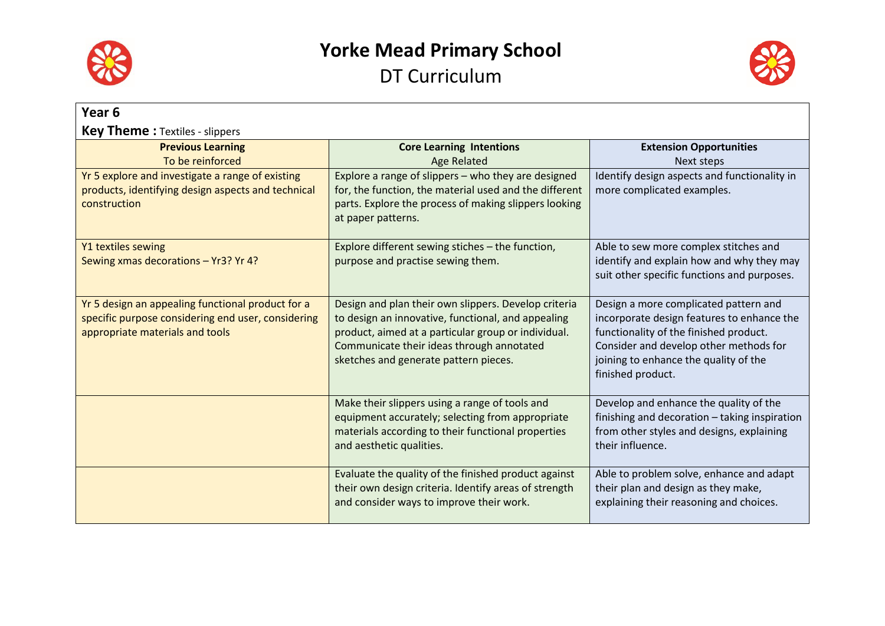



| Year <sub>6</sub>                                                                                                                          |                                                                                                                                                                                                                                                         |                                                                                                                                                                                                                                       |
|--------------------------------------------------------------------------------------------------------------------------------------------|---------------------------------------------------------------------------------------------------------------------------------------------------------------------------------------------------------------------------------------------------------|---------------------------------------------------------------------------------------------------------------------------------------------------------------------------------------------------------------------------------------|
| <b>Key Theme:</b> Textiles - slippers                                                                                                      |                                                                                                                                                                                                                                                         |                                                                                                                                                                                                                                       |
| <b>Previous Learning</b>                                                                                                                   | <b>Core Learning Intentions</b>                                                                                                                                                                                                                         | <b>Extension Opportunities</b>                                                                                                                                                                                                        |
| To be reinforced                                                                                                                           | <b>Age Related</b>                                                                                                                                                                                                                                      | Next steps                                                                                                                                                                                                                            |
| Yr 5 explore and investigate a range of existing<br>products, identifying design aspects and technical<br>construction                     | Explore a range of slippers - who they are designed<br>for, the function, the material used and the different<br>parts. Explore the process of making slippers looking<br>at paper patterns.                                                            | Identify design aspects and functionality in<br>more complicated examples.                                                                                                                                                            |
| Y1 textiles sewing<br>Sewing xmas decorations - Yr3? Yr 4?                                                                                 | Explore different sewing stiches - the function,<br>purpose and practise sewing them.                                                                                                                                                                   | Able to sew more complex stitches and<br>identify and explain how and why they may<br>suit other specific functions and purposes.                                                                                                     |
| Yr 5 design an appealing functional product for a<br>specific purpose considering end user, considering<br>appropriate materials and tools | Design and plan their own slippers. Develop criteria<br>to design an innovative, functional, and appealing<br>product, aimed at a particular group or individual.<br>Communicate their ideas through annotated<br>sketches and generate pattern pieces. | Design a more complicated pattern and<br>incorporate design features to enhance the<br>functionality of the finished product.<br>Consider and develop other methods for<br>joining to enhance the quality of the<br>finished product. |
|                                                                                                                                            | Make their slippers using a range of tools and<br>equipment accurately; selecting from appropriate<br>materials according to their functional properties<br>and aesthetic qualities.                                                                    | Develop and enhance the quality of the<br>finishing and decoration - taking inspiration<br>from other styles and designs, explaining<br>their influence.                                                                              |
|                                                                                                                                            | Evaluate the quality of the finished product against<br>their own design criteria. Identify areas of strength<br>and consider ways to improve their work.                                                                                               | Able to problem solve, enhance and adapt<br>their plan and design as they make,<br>explaining their reasoning and choices.                                                                                                            |